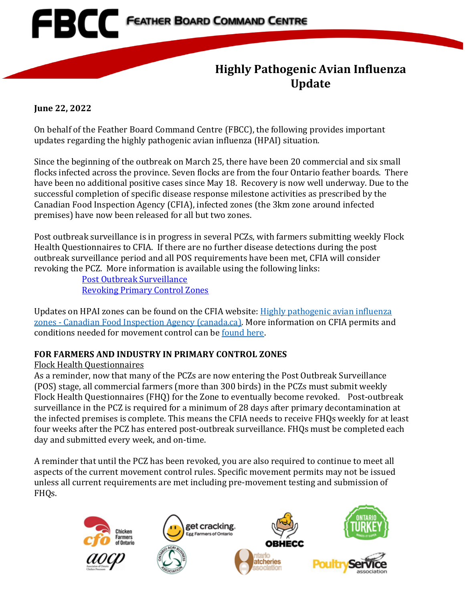

# **Highly Pathogenic Avian Influenza Update**

#### **June 22, 2022**

On behalf of the Feather Board Command Centre (FBCC), the following provides important updates regarding the highly pathogenic avian influenza (HPAI) situation.

Since the beginning of the outbreak on March 25, there have been 20 commercial and six small flocks infected across the province. Seven flocks are from the four Ontario feather boards. There have been no additional positive cases since May 18. Recovery is now well underway. Due to the successful completion of specific disease response milestone activities as prescribed by the Canadian Food Inspection Agency (CFIA), infected zones (the 3km zone around infected premises) have now been released for all but two zones.

Post outbreak surveillance is in progress in several PCZs, with farmers submitting weekly Flock Health Questionnaires to CFIA. If there are no further disease detections during the post outbreak surveillance period and all POS requirements have been met, CFIA will consider revoking the PCZ. More information is available using the following links:

[Post Outbreak Surveillance](https://inspection.canada.ca/animal-health/terrestrial-animals/diseases/reportable/avian-influenza/pcz-pos/eng/1655655067588/1655655068135) [Revoking Primary Control Zones](https://www.fbcc.ca/file.aspx?id=01836c01-91f2-47f5-9695-43b551989c3b)

Updates on HPAI zones can be found on the CFIA website: [Highly pathogenic avian influenza](https://inspection.canada.ca/animal-health/terrestrial-animals/diseases/reportable/avian-influenza/hpai-in-canada/status-of-ongoing-avian-influenza-response-by-prov/ai-zones/eng/1648851134912/1648851359195#infectedzone)  zones - [Canadian Food Inspection Agency \(canada.ca\).](https://inspection.canada.ca/animal-health/terrestrial-animals/diseases/reportable/avian-influenza/hpai-in-canada/status-of-ongoing-avian-influenza-response-by-prov/ai-zones/eng/1648851134912/1648851359195#infectedzone) More information on CFIA permits and conditions needed for movement control can be [found here.](https://inspection.canada.ca/animal-health/terrestrial-animals/diseases/reportable/avian-influenza/hpai-in-canada/status-of-ongoing-avian-influenza-response-by-prov/permits-and-conditions/eng/1648871137667/1648871138011)

# **FOR FARMERS AND INDUSTRY IN PRIMARY CONTROL ZONES**

# Flock Health Questionnaires

As a reminder, now that many of the PCZs are now entering the Post Outbreak Surveillance (POS) stage, all commercial farmers (more than 300 birds) in the PCZs must submit weekly Flock Health Questionnaires (FHQ) for the Zone to eventually become revoked. Post-outbreak surveillance in the PCZ is required for a minimum of 28 days after primary decontamination at the infected premises is complete. This means the CFIA needs to receive FHQs weekly for at least four weeks after the PCZ has entered post-outbreak surveillance. FHQs must be completed each day and submitted every week, and on-time.

A reminder that until the PCZ has been revoked, you are also required to continue to meet all aspects of the current movement control rules. Specific movement permits may not be issued unless all current requirements are met including pre-movement testing and submission of FHQs.